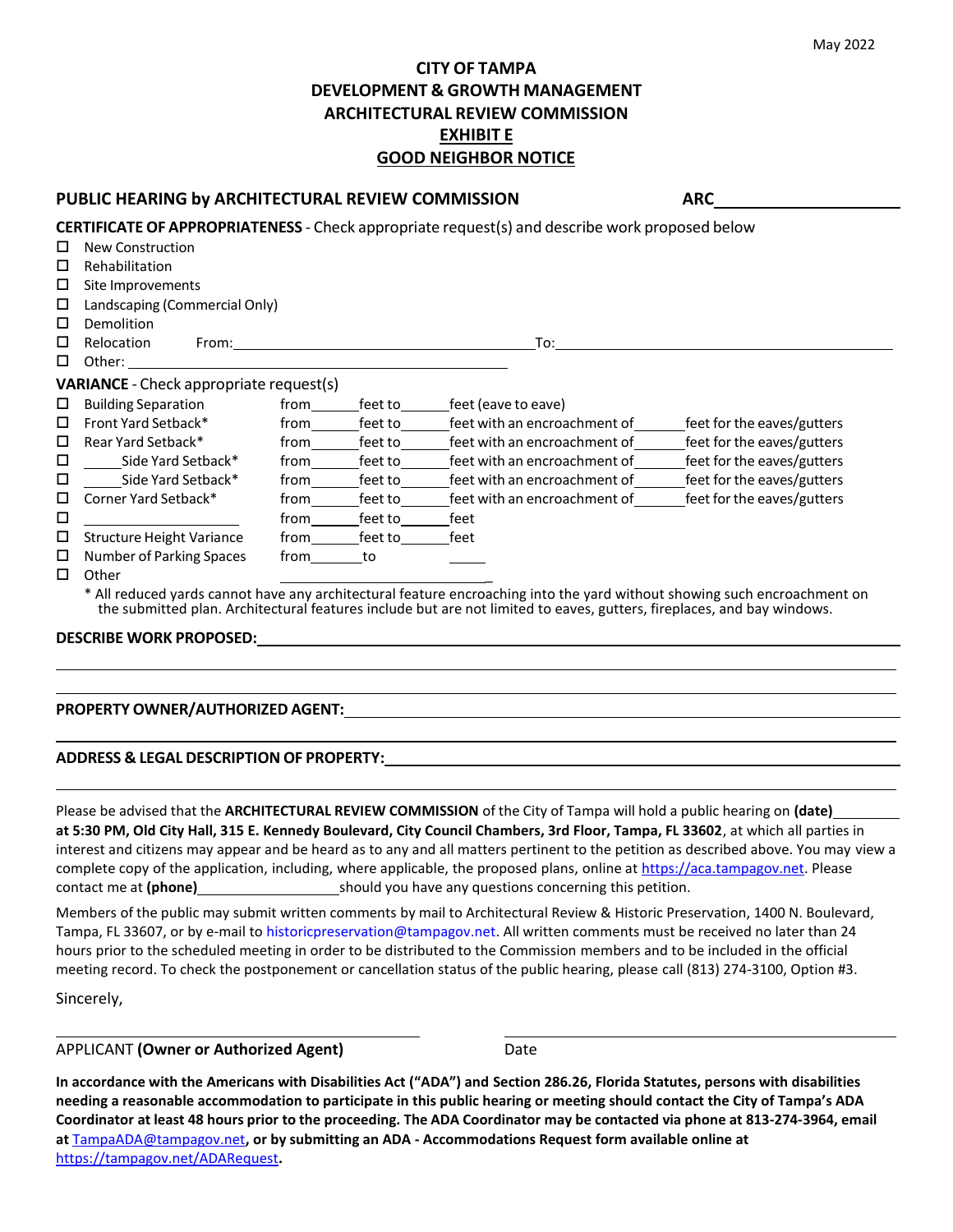## **CITY OF TAMPA DEVELOPMENT & GROWTH MANAGEMENT ARCHITECTURAL REVIEW COMMISSION EXHIBIT E GOOD NEIGHBOR NOTICE**

### **PUBLIC HEARING by ARCHITECTURAL REVIEW COMMISSION ARC**

|        |                                                |      |         | <b>CERTIFICATE OF APPROPRIATENESS</b> - Check appropriate request(s) and describe work proposed below                                                                                                                                              |                            |
|--------|------------------------------------------------|------|---------|----------------------------------------------------------------------------------------------------------------------------------------------------------------------------------------------------------------------------------------------------|----------------------------|
| □      | <b>New Construction</b>                        |      |         |                                                                                                                                                                                                                                                    |                            |
| □      | Rehabilitation                                 |      |         |                                                                                                                                                                                                                                                    |                            |
| □      | Site Improvements                              |      |         |                                                                                                                                                                                                                                                    |                            |
| □      | Landscaping (Commercial Only)                  |      |         |                                                                                                                                                                                                                                                    |                            |
| □      | Demolition                                     |      |         |                                                                                                                                                                                                                                                    |                            |
| □      | From:<br>Relocation                            |      |         | To:                                                                                                                                                                                                                                                |                            |
| $\Box$ | Other:                                         |      |         |                                                                                                                                                                                                                                                    |                            |
|        | <b>VARIANCE</b> - Check appropriate request(s) |      |         |                                                                                                                                                                                                                                                    |                            |
| □      | <b>Building Separation</b>                     | from | feet to | feet (eave to eave)                                                                                                                                                                                                                                |                            |
| □      | Front Yard Setback*                            | from | feet to | feet with an encroachment of                                                                                                                                                                                                                       | feet for the eaves/gutters |
| □      | Rear Yard Setback*                             | from | feet to | feet with an encroachment of                                                                                                                                                                                                                       | feet for the eaves/gutters |
| □      | Side Yard Setback*                             | from | feet to | feet with an encroachment of                                                                                                                                                                                                                       | feet for the eaves/gutters |
| □      | Side Yard Setback*                             | from | feet to | feet with an encroachment of                                                                                                                                                                                                                       | feet for the eaves/gutters |
| □      | Corner Yard Setback*                           | from | feet to | feet with an encroachment of                                                                                                                                                                                                                       | feet for the eaves/gutters |
| □      |                                                | from | feet to | feet                                                                                                                                                                                                                                               |                            |
| □      | <b>Structure Height Variance</b>               | from | feet to | feet                                                                                                                                                                                                                                               |                            |
| □      | Number of Parking Spaces                       | from | to      |                                                                                                                                                                                                                                                    |                            |
| □      | Other                                          |      |         |                                                                                                                                                                                                                                                    |                            |
|        |                                                |      |         | * All reduced yards cannot have any architectural feature encroaching into the yard without showing such encroachment on<br>the submitted plan. Architectural features include but are not limited to eaves, gutters, fireplaces, and bay windows. |                            |

### **DESCRIBE WORK PROPOSED:**

#### **PROPERTY OWNER/AUTHORIZED AGENT:**

### **ADDRESS & LEGAL DESCRIPTION OF PROPERTY:**

Please be advised that the **ARCHITECTURAL REVIEW COMMISSION** of the City of Tampa will hold a public hearing on **(date) at 5:30 PM, Old City Hall, 315 E. Kennedy Boulevard, City Council Chambers, 3rd Floor, Tampa, FL 33602**, at which all parties in interest and citizens may appear and be heard as to any and all matters pertinent to the petition as described above. You may view a complete copy of the application, including, where applicable, the proposed plans, online at [https://aca.tampagov.net. P](https://aca.tampagov.net/)lease contact me at **(phone)** should you have any questions concerning this petition.

Members of the public may submit written comments by mail to Architectural Review & Historic Preservation, 1400 N. Boulevard, Tampa, FL 33607, or by e-mail to [historicpreservation@tampagov.net. A](mailto:Beverly.Jewesak@tampagov.net)ll written comments must be received no later than 24 hours prior to the scheduled meeting in order to be distributed to the Commission [members and to be included in t](mailto:Beverly.Jewesak@tampagov.net)he official meeting record. To check the postponement or cancellation status of the public hearing, please call (813) 274-3100, Option #3.

Sincerely,

APPLICANT **(Owner or Authorized Agent)** Date

**In accordance with the Americans with Disabilities Act ("ADA") and Section 286.26, Florida Statutes, persons with disabilities needing a reasonable accommodation to participate in this public hearing or meeting should contact the City of Tampa's ADA** Coordinator at least 48 hours prior to the proceeding. The ADA Coordinator may be contacted via phone at 813-274-3964, email **at** [TampaADA@tampagov.net](mailto:TampaADA@tampagov.net)**, or by submitting an ADA - Accommodations Request form available online at** <https://tampagov.net/ADARequest>**.**